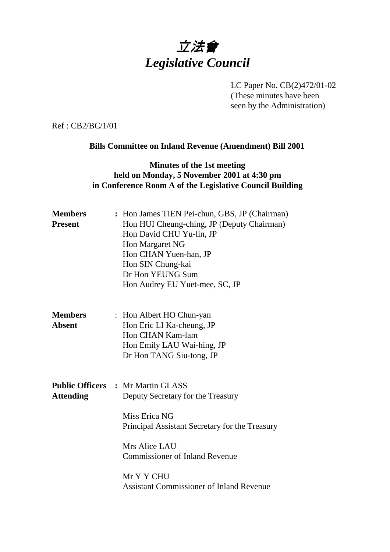# 立法會 *Legislative Council*

LC Paper No. CB(2)472/01-02 (These minutes have been seen by the Administration)

Ref : CB2/BC/1/01

#### **Bills Committee on Inland Revenue (Amendment) Bill 2001**

### **Minutes of the 1st meeting held on Monday, 5 November 2001 at 4:30 pm in Conference Room A of the Legislative Council Building**

| <b>Members</b><br><b>Present</b> | : Hon James TIEN Pei-chun, GBS, JP (Chairman)<br>Hon HUI Cheung-ching, JP (Deputy Chairman)<br>Hon David CHU Yu-lin, JP<br>Hon Margaret NG<br>Hon CHAN Yuen-han, JP<br>Hon SIN Chung-kai<br>Dr Hon YEUNG Sum<br>Hon Audrey EU Yuet-mee, SC, JP                              |
|----------------------------------|-----------------------------------------------------------------------------------------------------------------------------------------------------------------------------------------------------------------------------------------------------------------------------|
| <b>Members</b><br><b>Absent</b>  | : Hon Albert HO Chun-yan<br>Hon Eric LI Ka-cheung, JP<br>Hon CHAN Kam-lam<br>Hon Emily LAU Wai-hing, JP<br>Dr Hon TANG Siu-tong, JP                                                                                                                                         |
| <b>Attending</b>                 | <b>Public Officers : Mr Martin GLASS</b><br>Deputy Secretary for the Treasury<br>Miss Erica NG<br>Principal Assistant Secretary for the Treasury<br>Mrs Alice LAU<br><b>Commissioner of Inland Revenue</b><br>Mr Y Y CHU<br><b>Assistant Commissioner of Inland Revenue</b> |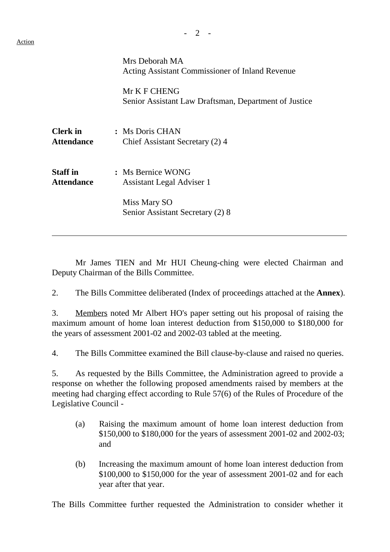$\overline{a}$ 

|                                      | Mrs Deborah MA<br>Acting Assistant Commissioner of Inland Revenue     |
|--------------------------------------|-----------------------------------------------------------------------|
|                                      | Mr K F CHENG<br>Senior Assistant Law Draftsman, Department of Justice |
| <b>Clerk</b> in<br><b>Attendance</b> | : Ms Doris CHAN<br>Chief Assistant Secretary (2) 4                    |
| <b>Staff</b> in<br><b>Attendance</b> | : Ms Bernice WONG<br>Assistant Legal Adviser 1                        |
|                                      | Miss Mary SO<br>Senior Assistant Secretary (2) 8                      |

Mr James TIEN and Mr HUI Cheung-ching were elected Chairman and Deputy Chairman of the Bills Committee.

2. The Bills Committee deliberated (Index of proceedings attached at the **Annex**).

3. Members noted Mr Albert HO's paper setting out his proposal of raising the maximum amount of home loan interest deduction from \$150,000 to \$180,000 for the years of assessment 2001-02 and 2002-03 tabled at the meeting.

4. The Bills Committee examined the Bill clause-by-clause and raised no queries.

5. As requested by the Bills Committee, the Administration agreed to provide a response on whether the following proposed amendments raised by members at the meeting had charging effect according to Rule 57(6) of the Rules of Procedure of the Legislative Council -

- (a) Raising the maximum amount of home loan interest deduction from \$150,000 to \$180,000 for the years of assessment 2001-02 and 2002-03; and
- (b) Increasing the maximum amount of home loan interest deduction from \$100,000 to \$150,000 for the year of assessment 2001-02 and for each year after that year.

The Bills Committee further requested the Administration to consider whether it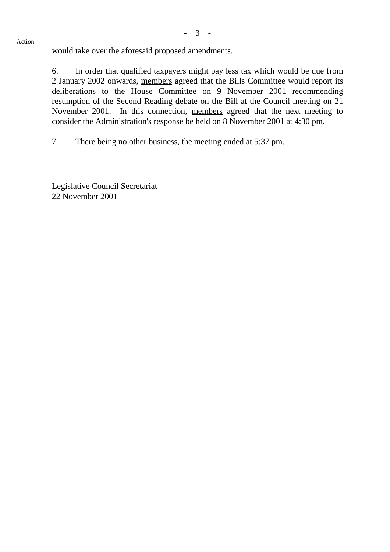would take over the aforesaid proposed amendments.

6. In order that qualified taxpayers might pay less tax which would be due from 2 January 2002 onwards, members agreed that the Bills Committee would report its deliberations to the House Committee on 9 November 2001 recommending resumption of the Second Reading debate on the Bill at the Council meeting on 21 November 2001. In this connection, members agreed that the next meeting to consider the Administration's response be held on 8 November 2001 at 4:30 pm.

7. There being no other business, the meeting ended at 5:37 pm.

Legislative Council Secretariat 22 November 2001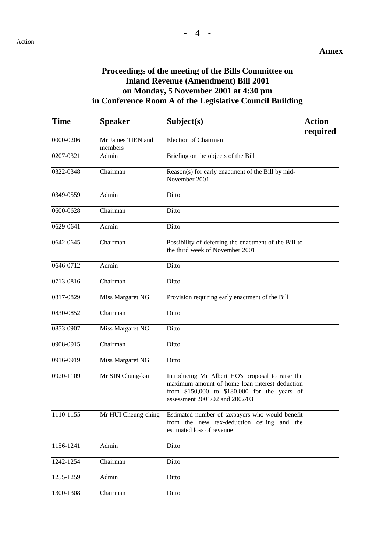# **Proceedings of the meeting of the Bills Committee on Inland Revenue (Amendment) Bill 2001 on Monday, 5 November 2001 at 4:30 pm in Conference Room A of the Legislative Council Building**

| <b>Time</b>   | <b>Speaker</b>               | Subject(s)                                                                                                                                                                           | <b>Action</b><br>required |
|---------------|------------------------------|--------------------------------------------------------------------------------------------------------------------------------------------------------------------------------------|---------------------------|
| 0000-0206     | Mr James TIEN and<br>members | Election of Chairman                                                                                                                                                                 |                           |
| 0207-0321     | Admin                        | Briefing on the objects of the Bill                                                                                                                                                  |                           |
| 0322-0348     | Chairman                     | Reason(s) for early enactment of the Bill by mid-<br>November 2001                                                                                                                   |                           |
| 0349-0559     | Admin                        | Ditto                                                                                                                                                                                |                           |
| $0600 - 0628$ | Chairman                     | Ditto                                                                                                                                                                                |                           |
| 0629-0641     | Admin                        | Ditto                                                                                                                                                                                |                           |
| 0642-0645     | Chairman                     | Possibility of deferring the enactment of the Bill to<br>the third week of November 2001                                                                                             |                           |
| 0646-0712     | Admin                        | Ditto                                                                                                                                                                                |                           |
| 0713-0816     | Chairman                     | Ditto                                                                                                                                                                                |                           |
| 0817-0829     | Miss Margaret NG             | Provision requiring early enactment of the Bill                                                                                                                                      |                           |
| 0830-0852     | Chairman                     | Ditto                                                                                                                                                                                |                           |
| 0853-0907     | Miss Margaret NG             | Ditto                                                                                                                                                                                |                           |
| 0908-0915     | Chairman                     | Ditto                                                                                                                                                                                |                           |
| 0916-0919     | Miss Margaret NG             | Ditto                                                                                                                                                                                |                           |
| 0920-1109     | Mr SIN Chung-kai             | Introducing Mr Albert HO's proposal to raise the<br>maximum amount of home loan interest deduction<br>from \$150,000 to \$180,000 for the years of<br>assessment 2001/02 and 2002/03 |                           |
| 1110-1155     | Mr HUI Cheung-ching          | Estimated number of taxpayers who would benefit<br>from the new tax-deduction ceiling and the<br>estimated loss of revenue                                                           |                           |
| 1156-1241     | Admin                        | Ditto                                                                                                                                                                                |                           |
| 1242-1254     | Chairman                     | Ditto                                                                                                                                                                                |                           |
| 1255-1259     | Admin                        | Ditto                                                                                                                                                                                |                           |
| 1300-1308     | Chairman                     | Ditto                                                                                                                                                                                |                           |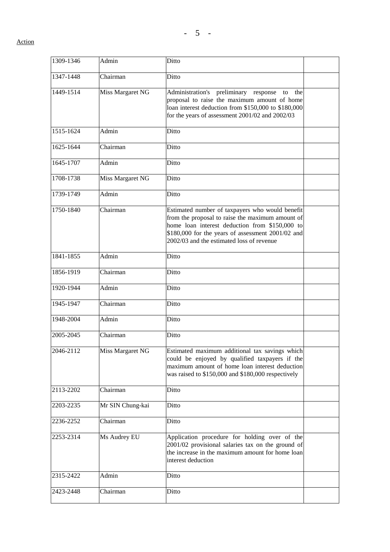| 1309-1346 | Admin            | Ditto                                                                                                                                                                                                                                                   |  |
|-----------|------------------|---------------------------------------------------------------------------------------------------------------------------------------------------------------------------------------------------------------------------------------------------------|--|
| 1347-1448 | Chairman         | Ditto                                                                                                                                                                                                                                                   |  |
| 1449-1514 | Miss Margaret NG | Administration's preliminary response<br>the<br>to<br>proposal to raise the maximum amount of home<br>loan interest deduction from \$150,000 to \$180,000<br>for the years of assessment 2001/02 and 2002/03                                            |  |
| 1515-1624 | Admin            | Ditto                                                                                                                                                                                                                                                   |  |
| 1625-1644 | Chairman         | Ditto                                                                                                                                                                                                                                                   |  |
| 1645-1707 | Admin            | Ditto                                                                                                                                                                                                                                                   |  |
| 1708-1738 | Miss Margaret NG | Ditto                                                                                                                                                                                                                                                   |  |
| 1739-1749 | Admin            | Ditto                                                                                                                                                                                                                                                   |  |
| 1750-1840 | Chairman         | Estimated number of taxpayers who would benefit<br>from the proposal to raise the maximum amount of<br>home loan interest deduction from \$150,000 to<br>\$180,000 for the years of assessment 2001/02 and<br>2002/03 and the estimated loss of revenue |  |
| 1841-1855 | Admin            | Ditto                                                                                                                                                                                                                                                   |  |
| 1856-1919 | Chairman         | Ditto                                                                                                                                                                                                                                                   |  |
| 1920-1944 | Admin            | Ditto                                                                                                                                                                                                                                                   |  |
| 1945-1947 | Chairman         | Ditto                                                                                                                                                                                                                                                   |  |
| 1948-2004 | Admin            | Ditto                                                                                                                                                                                                                                                   |  |
| 2005-2045 | Chairman         | Ditto                                                                                                                                                                                                                                                   |  |
| 2046-2112 | Miss Margaret NG | Estimated maximum additional tax savings which<br>could be enjoyed by qualified taxpayers if the<br>maximum amount of home loan interest deduction<br>was raised to \$150,000 and \$180,000 respectively                                                |  |
| 2113-2202 | Chairman         | Ditto                                                                                                                                                                                                                                                   |  |
| 2203-2235 | Mr SIN Chung-kai | Ditto                                                                                                                                                                                                                                                   |  |
| 2236-2252 | Chairman         | Ditto                                                                                                                                                                                                                                                   |  |
| 2253-2314 | Ms Audrey EU     | Application procedure for holding over of the<br>2001/02 provisional salaries tax on the ground of<br>the increase in the maximum amount for home loan<br>interest deduction                                                                            |  |
| 2315-2422 | Admin            | Ditto                                                                                                                                                                                                                                                   |  |
| 2423-2448 | Chairman         | Ditto                                                                                                                                                                                                                                                   |  |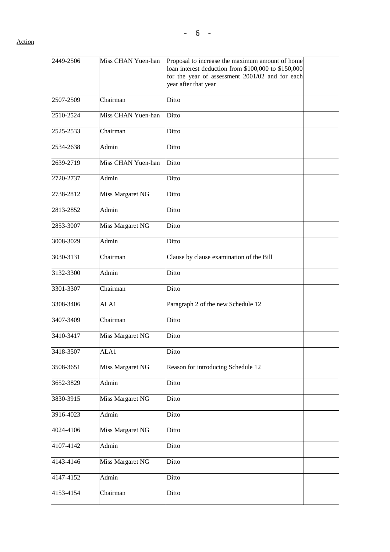| 2449-2506 | Miss CHAN Yuen-han | Proposal to increase the maximum amount of home<br>loan interest deduction from \$100,000 to \$150,000<br>for the year of assessment 2001/02 and for each<br>year after that year |  |
|-----------|--------------------|-----------------------------------------------------------------------------------------------------------------------------------------------------------------------------------|--|
| 2507-2509 | Chairman           | Ditto                                                                                                                                                                             |  |
| 2510-2524 | Miss CHAN Yuen-han | Ditto                                                                                                                                                                             |  |
|           |                    |                                                                                                                                                                                   |  |
| 2525-2533 | Chairman           | Ditto                                                                                                                                                                             |  |
| 2534-2638 | Admin              | Ditto                                                                                                                                                                             |  |
| 2639-2719 | Miss CHAN Yuen-han | Ditto                                                                                                                                                                             |  |
| 2720-2737 | Admin              | Ditto                                                                                                                                                                             |  |
| 2738-2812 | Miss Margaret NG   | Ditto                                                                                                                                                                             |  |
| 2813-2852 | Admin              | Ditto                                                                                                                                                                             |  |
| 2853-3007 | Miss Margaret NG   | Ditto                                                                                                                                                                             |  |
| 3008-3029 | Admin              | Ditto                                                                                                                                                                             |  |
| 3030-3131 | Chairman           | Clause by clause examination of the Bill                                                                                                                                          |  |
| 3132-3300 | Admin              | Ditto                                                                                                                                                                             |  |
| 3301-3307 | Chairman           | Ditto                                                                                                                                                                             |  |
| 3308-3406 | ALA1               | Paragraph 2 of the new Schedule 12                                                                                                                                                |  |
| 3407-3409 | Chairman           | Ditto                                                                                                                                                                             |  |
| 3410-3417 | Miss Margaret NG   | Ditto                                                                                                                                                                             |  |
| 3418-3507 | ALA1               | Ditto                                                                                                                                                                             |  |
| 3508-3651 | Miss Margaret NG   | Reason for introducing Schedule 12                                                                                                                                                |  |
| 3652-3829 | Admin              | Ditto                                                                                                                                                                             |  |
| 3830-3915 | Miss Margaret NG   | Ditto                                                                                                                                                                             |  |
| 3916-4023 | Admin              | Ditto                                                                                                                                                                             |  |
| 4024-4106 | Miss Margaret NG   | Ditto                                                                                                                                                                             |  |
| 4107-4142 | Admin              | Ditto                                                                                                                                                                             |  |
| 4143-4146 | Miss Margaret NG   | Ditto                                                                                                                                                                             |  |
| 4147-4152 | Admin              | Ditto                                                                                                                                                                             |  |
| 4153-4154 | Chairman           | Ditto                                                                                                                                                                             |  |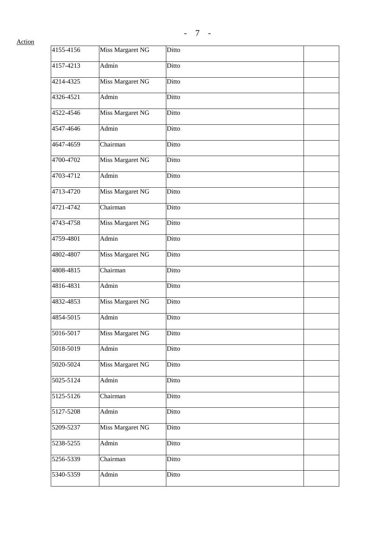| 4155-4156 | Miss Margaret NG        | Ditto |  |
|-----------|-------------------------|-------|--|
| 4157-4213 | Admin                   | Ditto |  |
| 4214-4325 | Miss Margaret NG        | Ditto |  |
| 4326-4521 | Admin                   | Ditto |  |
| 4522-4546 | Miss Margaret NG        | Ditto |  |
| 4547-4646 | Admin                   | Ditto |  |
| 4647-4659 | Chairman                | Ditto |  |
| 4700-4702 | Miss Margaret NG        | Ditto |  |
| 4703-4712 | Admin                   | Ditto |  |
| 4713-4720 | Miss Margaret NG        | Ditto |  |
| 4721-4742 | Chairman                | Ditto |  |
| 4743-4758 | <b>Miss Margaret NG</b> | Ditto |  |
| 4759-4801 | Admin                   | Ditto |  |
| 4802-4807 | Miss Margaret NG        | Ditto |  |
| 4808-4815 | Chairman                | Ditto |  |
| 4816-4831 | Admin                   | Ditto |  |
| 4832-4853 | <b>Miss Margaret NG</b> | Ditto |  |
| 4854-5015 | Admin                   | Ditto |  |
| 5016-5017 | Miss Margaret NG        | Ditto |  |
| 5018-5019 | Admin                   | Ditto |  |
| 5020-5024 | Miss Margaret NG        | Ditto |  |
| 5025-5124 | Admin                   | Ditto |  |
| 5125-5126 | Chairman                | Ditto |  |
| 5127-5208 | Admin                   | Ditto |  |
| 5209-5237 | Miss Margaret NG        | Ditto |  |
| 5238-5255 | Admin                   | Ditto |  |
| 5256-5339 | Chairman                | Ditto |  |
| 5340-5359 | Admin                   | Ditto |  |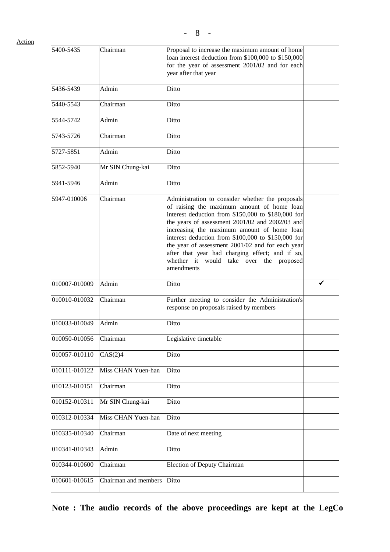| 5400-5435              | Chairman             | Proposal to increase the maximum amount of home<br>loan interest deduction from \$100,000 to \$150,000<br>for the year of assessment 2001/02 and for each<br>year after that year                                                                                                                                                                                                                                                                                           |  |
|------------------------|----------------------|-----------------------------------------------------------------------------------------------------------------------------------------------------------------------------------------------------------------------------------------------------------------------------------------------------------------------------------------------------------------------------------------------------------------------------------------------------------------------------|--|
| 5436-5439              | Admin                | Ditto                                                                                                                                                                                                                                                                                                                                                                                                                                                                       |  |
| 5440-5543              | Chairman             | Ditto                                                                                                                                                                                                                                                                                                                                                                                                                                                                       |  |
| 5544-5742              | Admin                | Ditto                                                                                                                                                                                                                                                                                                                                                                                                                                                                       |  |
| 5743-5726              | Chairman             | Ditto                                                                                                                                                                                                                                                                                                                                                                                                                                                                       |  |
| 5727-5851              | Admin                | Ditto                                                                                                                                                                                                                                                                                                                                                                                                                                                                       |  |
| 5852-5940              | Mr SIN Chung-kai     | Ditto                                                                                                                                                                                                                                                                                                                                                                                                                                                                       |  |
| 5941-5946              | Admin                | Ditto                                                                                                                                                                                                                                                                                                                                                                                                                                                                       |  |
| 5947-010006            | Chairman             | Administration to consider whether the proposals<br>of raising the maximum amount of home loan<br>interest deduction from \$150,000 to \$180,000 for<br>the years of assessment 2001/02 and 2002/03 and<br>increasing the maximum amount of home loan<br>interest deduction from \$100,000 to \$150,000 for<br>the year of assessment 2001/02 and for each year<br>after that year had charging effect; and if so,<br>whether it would take over the proposed<br>amendments |  |
| 010007-010009          | Admin                | Ditto                                                                                                                                                                                                                                                                                                                                                                                                                                                                       |  |
| 010010-010032          | Chairman             | Further meeting to consider the Administration's<br>response on proposals raised by members                                                                                                                                                                                                                                                                                                                                                                                 |  |
| 010033-010049          | Admin                | Ditto                                                                                                                                                                                                                                                                                                                                                                                                                                                                       |  |
| 010050-010056 Chairman |                      | Legislative timetable                                                                                                                                                                                                                                                                                                                                                                                                                                                       |  |
| 010057-010110          | CAS(2)4              | Ditto                                                                                                                                                                                                                                                                                                                                                                                                                                                                       |  |
| 010111-010122          | Miss CHAN Yuen-han   | Ditto                                                                                                                                                                                                                                                                                                                                                                                                                                                                       |  |
| 010123-010151          | Chairman             | Ditto                                                                                                                                                                                                                                                                                                                                                                                                                                                                       |  |
| 010152-010311          | Mr SIN Chung-kai     | Ditto                                                                                                                                                                                                                                                                                                                                                                                                                                                                       |  |
| 010312-010334          | Miss CHAN Yuen-han   | Ditto                                                                                                                                                                                                                                                                                                                                                                                                                                                                       |  |
| 010335-010340          | Chairman             | Date of next meeting                                                                                                                                                                                                                                                                                                                                                                                                                                                        |  |
| 010341-010343          | Admin                | Ditto                                                                                                                                                                                                                                                                                                                                                                                                                                                                       |  |
| 010344-010600          | Chairman             | Election of Deputy Chairman                                                                                                                                                                                                                                                                                                                                                                                                                                                 |  |
| 010601-010615          | Chairman and members | Ditto                                                                                                                                                                                                                                                                                                                                                                                                                                                                       |  |

**Note : The audio records of the above proceedings are kept at the LegCo**